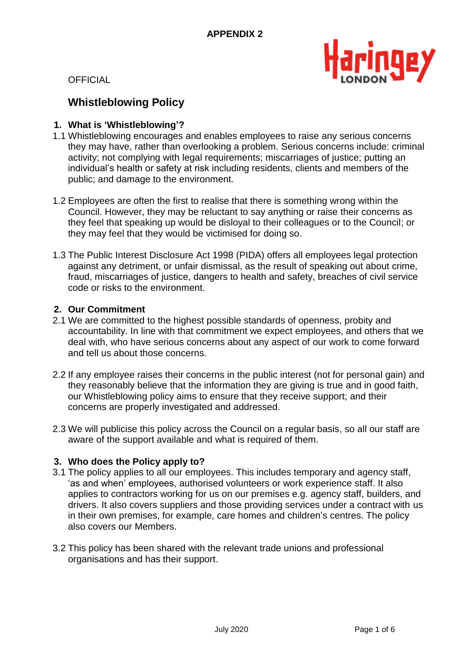

# **Whistleblowing Policy**

## **1. What is 'Whistleblowing'?**

- 1.1 Whistleblowing encourages and enables employees to raise any serious concerns they may have, rather than overlooking a problem. Serious concerns include: criminal activity; not complying with legal requirements; miscarriages of justice; putting an individual's health or safety at risk including residents, clients and members of the public; and damage to the environment.
- 1.2 Employees are often the first to realise that there is something wrong within the Council. However, they may be reluctant to say anything or raise their concerns as they feel that speaking up would be disloyal to their colleagues or to the Council; or they may feel that they would be victimised for doing so.
- 1.3 The Public Interest Disclosure Act 1998 (PIDA) offers all employees legal protection against any detriment, or unfair dismissal, as the result of speaking out about crime, fraud, miscarriages of justice, dangers to health and safety, breaches of civil service code or risks to the environment.

## **2. Our Commitment**

- 2.1 We are committed to the highest possible standards of openness, probity and accountability. In line with that commitment we expect employees, and others that we deal with, who have serious concerns about any aspect of our work to come forward and tell us about those concerns.
- 2.2 If any employee raises their concerns in the public interest (not for personal gain) and they reasonably believe that the information they are giving is true and in good faith, our Whistleblowing policy aims to ensure that they receive support; and their concerns are properly investigated and addressed.
- 2.3 We will publicise this policy across the Council on a regular basis, so all our staff are aware of the support available and what is required of them.

# **3. Who does the Policy apply to?**

- 3.1 The policy applies to all our employees. This includes temporary and agency staff, 'as and when' employees, authorised volunteers or work experience staff. It also applies to contractors working for us on our premises e.g. agency staff, builders, and drivers. It also covers suppliers and those providing services under a contract with us in their own premises, for example, care homes and children's centres. The policy also covers our Members.
- 3.2 This policy has been shared with the relevant trade unions and professional organisations and has their support.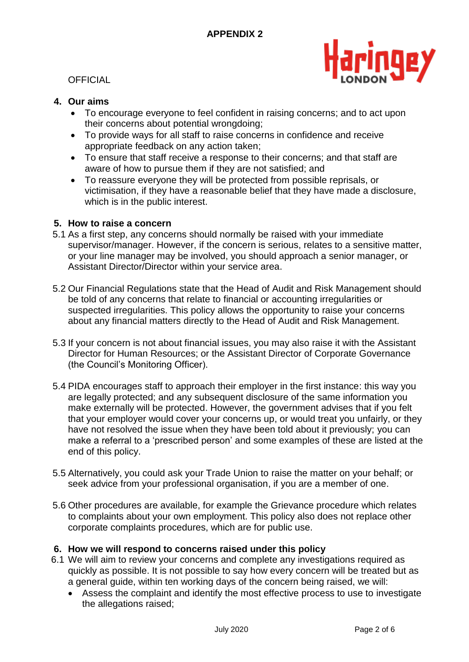

# **4. Our aims**

- To encourage everyone to feel confident in raising concerns; and to act upon their concerns about potential wrongdoing;
- To provide ways for all staff to raise concerns in confidence and receive appropriate feedback on any action taken;
- To ensure that staff receive a response to their concerns; and that staff are aware of how to pursue them if they are not satisfied; and
- To reassure everyone they will be protected from possible reprisals, or victimisation, if they have a reasonable belief that they have made a disclosure, which is in the public interest.

# **5. How to raise a concern**

- 5.1 As a first step, any concerns should normally be raised with your immediate supervisor/manager. However, if the concern is serious, relates to a sensitive matter, or your line manager may be involved, you should approach a senior manager, or Assistant Director/Director within your service area.
- 5.2 Our Financial Regulations state that the Head of Audit and Risk Management should be told of any concerns that relate to financial or accounting irregularities or suspected irregularities. This policy allows the opportunity to raise your concerns about any financial matters directly to the Head of Audit and Risk Management.
- 5.3 If your concern is not about financial issues, you may also raise it with the Assistant Director for Human Resources; or the Assistant Director of Corporate Governance (the Council's Monitoring Officer).
- 5.4 PIDA encourages staff to approach their employer in the first instance: this way you are legally protected; and any subsequent disclosure of the same information you make externally will be protected. However, the government advises that if you felt that your employer would cover your concerns up, or would treat you unfairly, or they have not resolved the issue when they have been told about it previously; you can make a referral to a 'prescribed person' and some examples of these are listed at the end of this policy.
- 5.5 Alternatively, you could ask your Trade Union to raise the matter on your behalf; or seek advice from your professional organisation, if you are a member of one.
- 5.6 Other procedures are available, for example the Grievance procedure which relates to complaints about your own employment. This policy also does not replace other corporate complaints procedures, which are for public use.

## **6. How we will respond to concerns raised under this policy**

- 6.1 We will aim to review your concerns and complete any investigations required as quickly as possible. It is not possible to say how every concern will be treated but as a general guide, within ten working days of the concern being raised, we will:
	- Assess the complaint and identify the most effective process to use to investigate the allegations raised;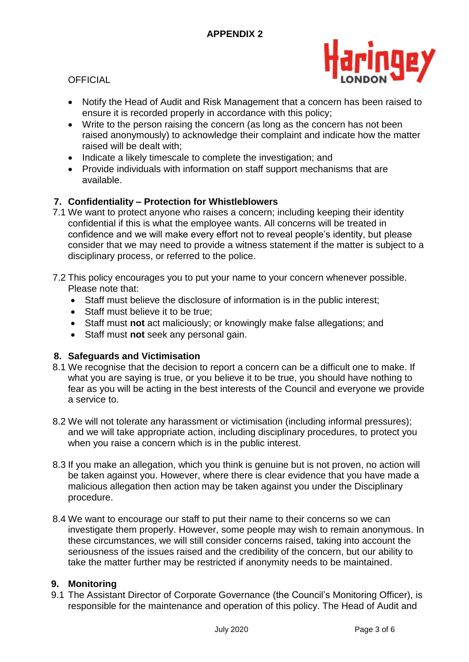

- Notify the Head of Audit and Risk Management that a concern has been raised to ensure it is recorded properly in accordance with this policy;
- Write to the person raising the concern (as long as the concern has not been raised anonymously) to acknowledge their complaint and indicate how the matter raised will be dealt with;
- Indicate a likely timescale to complete the investigation; and
- Provide individuals with information on staff support mechanisms that are available.

# **7. Confidentiality – Protection for Whistleblowers**

- 7.1 We want to protect anyone who raises a concern; including keeping their identity confidential if this is what the employee wants. All concerns will be treated in confidence and we will make every effort not to reveal people's identity, but please consider that we may need to provide a witness statement if the matter is subject to a disciplinary process, or referred to the police.
- 7.2 This policy encourages you to put your name to your concern whenever possible. Please note that:
	- Staff must believe the disclosure of information is in the public interest;
	- Staff must believe it to be true;
	- Staff must **not** act maliciously; or knowingly make false allegations; and
	- Staff must **not** seek any personal gain.

## **8. Safeguards and Victimisation**

- 8.1 We recognise that the decision to report a concern can be a difficult one to make. If what you are saying is true, or you believe it to be true, you should have nothing to fear as you will be acting in the best interests of the Council and everyone we provide a service to.
- 8.2 We will not tolerate any harassment or victimisation (including informal pressures); and we will take appropriate action, including disciplinary procedures, to protect you when you raise a concern which is in the public interest.
- 8.3 If you make an allegation, which you think is genuine but is not proven, no action will be taken against you. However, where there is clear evidence that you have made a malicious allegation then action may be taken against you under the Disciplinary procedure.
- 8.4 We want to encourage our staff to put their name to their concerns so we can investigate them properly. However, some people may wish to remain anonymous. In these circumstances, we will still consider concerns raised, taking into account the seriousness of the issues raised and the credibility of the concern, but our ability to take the matter further may be restricted if anonymity needs to be maintained.

## **9. Monitoring**

9.1 The Assistant Director of Corporate Governance (the Council's Monitoring Officer), is responsible for the maintenance and operation of this policy. The Head of Audit and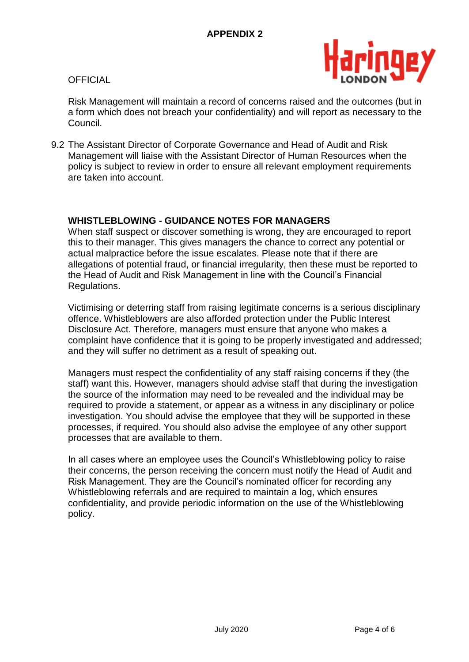

Risk Management will maintain a record of concerns raised and the outcomes (but in a form which does not breach your confidentiality) and will report as necessary to the Council.

9.2 The Assistant Director of Corporate Governance and Head of Audit and Risk Management will liaise with the Assistant Director of Human Resources when the policy is subject to review in order to ensure all relevant employment requirements are taken into account.

# **WHISTLEBLOWING - GUIDANCE NOTES FOR MANAGERS**

When staff suspect or discover something is wrong, they are encouraged to report this to their manager. This gives managers the chance to correct any potential or actual malpractice before the issue escalates. Please note that if there are allegations of potential fraud, or financial irregularity, then these must be reported to the Head of Audit and Risk Management in line with the Council's Financial Regulations.

Victimising or deterring staff from raising legitimate concerns is a serious disciplinary offence. Whistleblowers are also afforded protection under the Public Interest Disclosure Act. Therefore, managers must ensure that anyone who makes a complaint have confidence that it is going to be properly investigated and addressed; and they will suffer no detriment as a result of speaking out.

Managers must respect the confidentiality of any staff raising concerns if they (the staff) want this. However, managers should advise staff that during the investigation the source of the information may need to be revealed and the individual may be required to provide a statement, or appear as a witness in any disciplinary or police investigation. You should advise the employee that they will be supported in these processes, if required. You should also advise the employee of any other support processes that are available to them.

In all cases where an employee uses the Council's Whistleblowing policy to raise their concerns, the person receiving the concern must notify the Head of Audit and Risk Management. They are the Council's nominated officer for recording any Whistleblowing referrals and are required to maintain a log, which ensures confidentiality, and provide periodic information on the use of the Whistleblowing policy.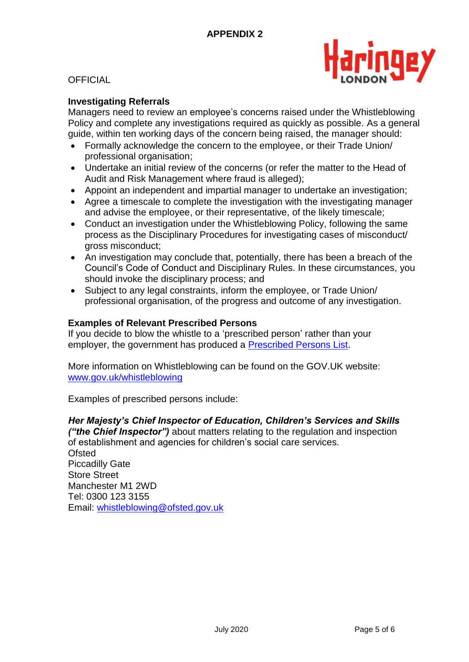

## **Investigating Referrals**

Managers need to review an employee's concerns raised under the Whistleblowing Policy and complete any investigations required as quickly as possible. As a general guide, within ten working days of the concern being raised, the manager should:

- Formally acknowledge the concern to the employee, or their Trade Union/ professional organisation;
- Undertake an initial review of the concerns (or refer the matter to the Head of Audit and Risk Management where fraud is alleged);
- Appoint an independent and impartial manager to undertake an investigation;
- Agree a timescale to complete the investigation with the investigating manager and advise the employee, or their representative, of the likely timescale;
- Conduct an investigation under the Whistleblowing Policy, following the same process as the Disciplinary Procedures for investigating cases of misconduct/ gross misconduct;
- An investigation may conclude that, potentially, there has been a breach of the Council's Code of Conduct and Disciplinary Rules. In these circumstances, you should invoke the disciplinary process; and
- Subject to any legal constraints, inform the employee, or Trade Union/ professional organisation, of the progress and outcome of any investigation.

#### **Examples of Relevant Prescribed Persons**

If you decide to blow the whistle to a 'prescribed person' rather than your employer, the government has produced a [Prescribed Persons List.](https://www.gov.uk/government/uploads/system/uploads/attachment_data/file/431221/bis-15-289-blowing-the-whistle-to-a-prescribed-person-list-of-prescribed-persons-and-bodies-2.pdf)

More information on Whistleblowing can be found on the GOV.UK website: [www.gov.uk/whistleblowing](http://www.gov.uk/whistleblowing)

Examples of prescribed persons include:

#### *Her Majesty's Chief Inspector of Education, Children's Services and Skills*

*("the Chief Inspector")* about matters relating to the regulation and inspection of establishment and agencies for children's social care services. **Ofsted** Piccadilly Gate Store Street

Manchester M1 2WD Tel: 0300 123 3155 Email: [whistleblowing@ofsted.gov.uk](mailto:whistleblowing@ofsted.gov.uk)